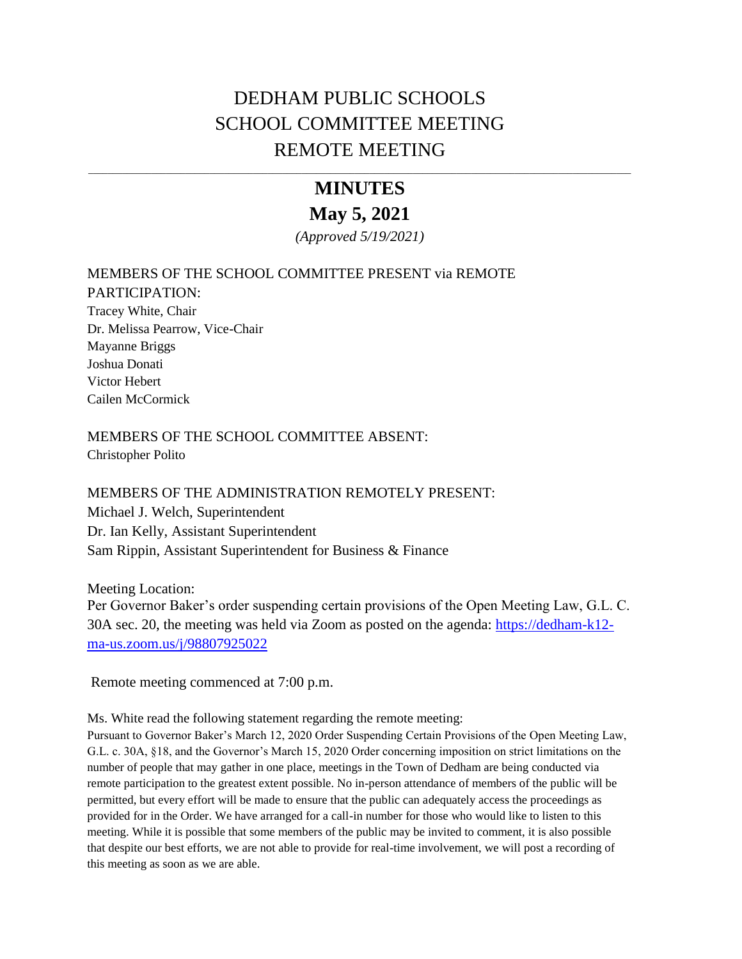# DEDHAM PUBLIC SCHOOLS SCHOOL COMMITTEE MEETING REMOTE MEETING

# **MINUTES May 5, 2021**

\_\_\_\_\_\_\_\_\_\_\_\_\_\_\_\_\_\_\_\_\_\_\_\_\_\_\_\_\_\_\_\_\_\_\_\_\_\_\_\_\_\_\_\_\_\_\_\_\_\_\_\_\_\_\_\_\_\_\_\_\_\_\_\_\_\_\_\_\_\_\_\_\_\_\_\_\_\_\_\_\_\_\_\_\_\_\_\_\_\_\_\_\_\_\_\_\_\_\_\_\_\_\_\_\_\_\_\_\_\_\_\_

*(Approved 5/19/2021)*

# MEMBERS OF THE SCHOOL COMMITTEE PRESENT via REMOTE PARTICIPATION: Tracey White, Chair Dr. Melissa Pearrow, Vice-Chair Mayanne Briggs Joshua Donati Victor Hebert Cailen McCormick

MEMBERS OF THE SCHOOL COMMITTEE ABSENT: Christopher Polito

MEMBERS OF THE ADMINISTRATION REMOTELY PRESENT: Michael J. Welch, Superintendent Dr. Ian Kelly, Assistant Superintendent Sam Rippin, Assistant Superintendent for Business & Finance

Meeting Location: Per Governor Baker's order suspending certain provisions of the Open Meeting Law, G.L. C. 30A sec. 20, the meeting was held via Zoom as posted on the agenda: [https://dedham-k12](https://dedham-k12-ma-us.zoom.us/j/98807925022) [ma-us.zoom.us/j/98807925022](https://dedham-k12-ma-us.zoom.us/j/98807925022) 

Remote meeting commenced at 7:00 p.m.

Ms. White read the following statement regarding the remote meeting:

Pursuant to Governor Baker's March 12, 2020 Order Suspending Certain Provisions of the Open Meeting Law, G.L. c. 30A, §18, and the Governor's March 15, 2020 Order concerning imposition on strict limitations on the number of people that may gather in one place, meetings in the Town of Dedham are being conducted via remote participation to the greatest extent possible. No in-person attendance of members of the public will be permitted, but every effort will be made to ensure that the public can adequately access the proceedings as provided for in the Order. We have arranged for a call-in number for those who would like to listen to this meeting. While it is possible that some members of the public may be invited to comment, it is also possible that despite our best efforts, we are not able to provide for real-time involvement, we will post a recording of this meeting as soon as we are able.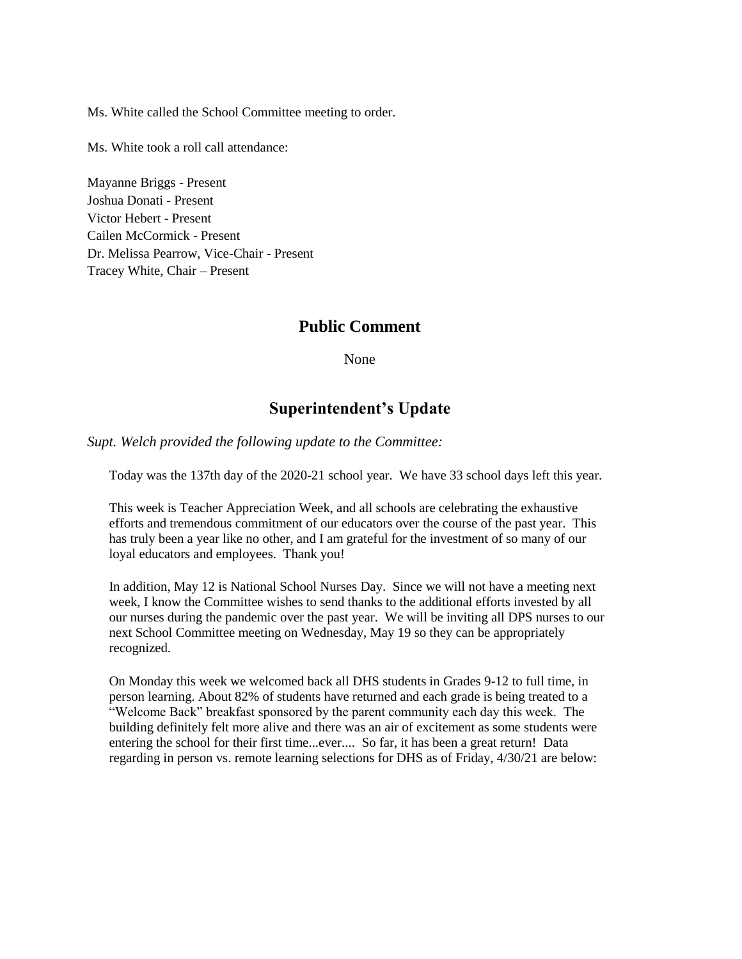Ms. White called the School Committee meeting to order.

Ms. White took a roll call attendance:

Mayanne Briggs - Present Joshua Donati - Present Victor Hebert - Present Cailen McCormick - Present Dr. Melissa Pearrow, Vice-Chair - Present Tracey White, Chair – Present

## **Public Comment**

None

## **Superintendent's Update**

*Supt. Welch provided the following update to the Committee:*

Today was the 137th day of the 2020-21 school year. We have 33 school days left this year.

This week is Teacher Appreciation Week, and all schools are celebrating the exhaustive efforts and tremendous commitment of our educators over the course of the past year. This has truly been a year like no other, and I am grateful for the investment of so many of our loyal educators and employees. Thank you!

In addition, May 12 is National School Nurses Day. Since we will not have a meeting next week, I know the Committee wishes to send thanks to the additional efforts invested by all our nurses during the pandemic over the past year. We will be inviting all DPS nurses to our next School Committee meeting on Wednesday, May 19 so they can be appropriately recognized.

On Monday this week we welcomed back all DHS students in Grades 9-12 to full time, in person learning. About 82% of students have returned and each grade is being treated to a "Welcome Back" breakfast sponsored by the parent community each day this week. The building definitely felt more alive and there was an air of excitement as some students were entering the school for their first time...ever.... So far, it has been a great return! Data regarding in person vs. remote learning selections for DHS as of Friday, 4/30/21 are below: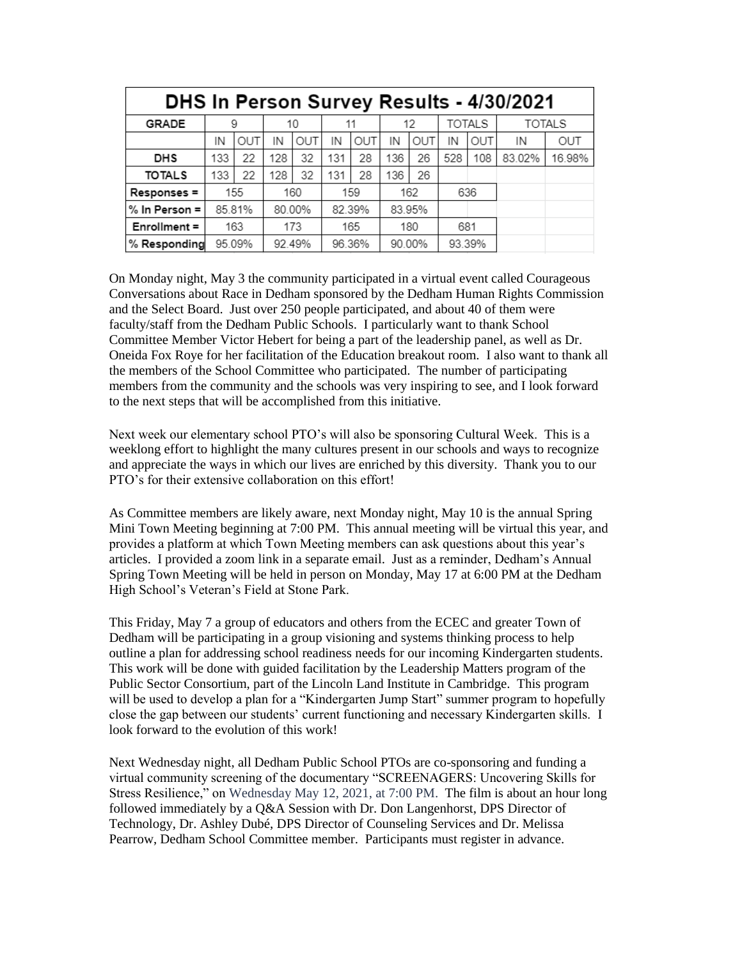| <b>DHS In Person Survey Results - 4/30/2021</b> |        |     |        |     |        |     |        |     |               |            |               |        |
|-------------------------------------------------|--------|-----|--------|-----|--------|-----|--------|-----|---------------|------------|---------------|--------|
| <b>GRADE</b>                                    | 9      |     | 10     |     | 11     |     | 12     |     | <b>TOTALS</b> |            | <b>TOTALS</b> |        |
|                                                 | IN     | OUT | IN     | OUT | IN     | OUT | IN     | OUT | IN            | <b>OUT</b> | IN            | OUT    |
| <b>DHS</b>                                      | 133    | 22  | 128    | 32  | 131    | 28  | 136    | 26  | 528           | 108        | 83.02%        | 16.98% |
| <b>TOTALS</b>                                   | 133    | 22  | 128    | 32  | 131    | 28  | 136    | 26  |               |            |               |        |
| Responses =                                     |        | 155 |        | 160 |        | 159 |        | 162 | 636           |            |               |        |
| % In Person =                                   | 85.81% |     | 80.00% |     | 82.39% |     | 83.95% |     |               |            |               |        |
| Enrollment =                                    | 163    |     | 173    |     | 165    |     | 180    |     | 681           |            |               |        |
| % Responding                                    | 95.09% |     | 92.49% |     | 96.36% |     | 90.00% |     | 93.39%        |            |               |        |

On Monday night, May 3 the community participated in a virtual event called Courageous Conversations about Race in Dedham sponsored by the Dedham Human Rights Commission and the Select Board. Just over 250 people participated, and about 40 of them were faculty/staff from the Dedham Public Schools. I particularly want to thank School Committee Member Victor Hebert for being a part of the leadership panel, as well as Dr. Oneida Fox Roye for her facilitation of the Education breakout room. I also want to thank all the members of the School Committee who participated. The number of participating members from the community and the schools was very inspiring to see, and I look forward to the next steps that will be accomplished from this initiative.

Next week our elementary school PTO's will also be sponsoring Cultural Week. This is a weeklong effort to highlight the many cultures present in our schools and ways to recognize and appreciate the ways in which our lives are enriched by this diversity. Thank you to our PTO's for their extensive collaboration on this effort!

As Committee members are likely aware, next Monday night, May 10 is the annual Spring Mini Town Meeting beginning at 7:00 PM. This annual meeting will be virtual this year, and provides a platform at which Town Meeting members can ask questions about this year's articles. I provided a zoom link in a separate email. Just as a reminder, Dedham's Annual Spring Town Meeting will be held in person on Monday, May 17 at 6:00 PM at the Dedham High School's Veteran's Field at Stone Park.

This Friday, May 7 a group of educators and others from the ECEC and greater Town of Dedham will be participating in a group visioning and systems thinking process to help outline a plan for addressing school readiness needs for our incoming Kindergarten students. This work will be done with guided facilitation by the Leadership Matters program of the Public Sector Consortium, part of the Lincoln Land Institute in Cambridge. This program will be used to develop a plan for a "Kindergarten Jump Start" summer program to hopefully close the gap between our students' current functioning and necessary Kindergarten skills. I look forward to the evolution of this work!

Next Wednesday night, all Dedham Public School PTOs are co-sponsoring and funding a virtual community screening of the documentary "SCREENAGERS: Uncovering Skills for Stress Resilience," on Wednesday May 12, 2021, at 7:00 PM. The film is about an hour long followed immediately by a Q&A Session with Dr. Don Langenhorst, DPS Director of Technology, Dr. Ashley Dubé, DPS Director of Counseling Services and Dr. Melissa Pearrow, Dedham School Committee member. Participants must register in advance.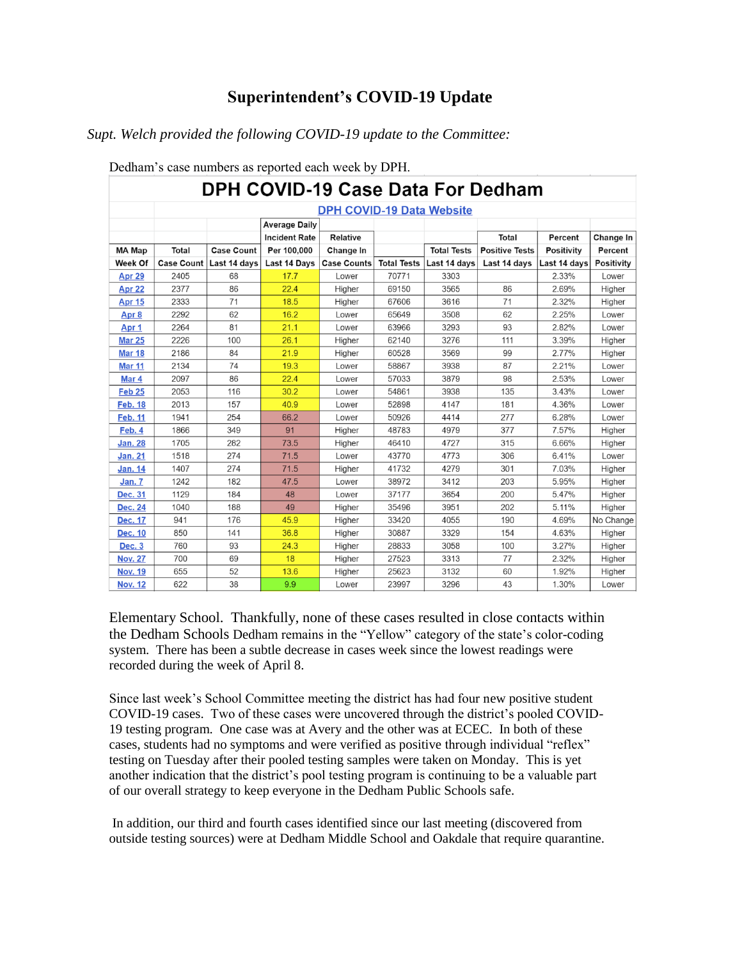# **Superintendent's COVID-19 Update**

## *Supt. Welch provided the following COVID-19 update to the Committee:*

| DPH COVID-19 Case Data For Dedham |            |                   |                      |                    |                    |                    |                       |                   |            |
|-----------------------------------|------------|-------------------|----------------------|--------------------|--------------------|--------------------|-----------------------|-------------------|------------|
| <b>DPH COVID-19 Data Website</b>  |            |                   |                      |                    |                    |                    |                       |                   |            |
|                                   |            |                   | <b>Average Daily</b> |                    |                    |                    |                       |                   |            |
|                                   |            |                   | <b>Incident Rate</b> | Relative           |                    |                    | Total                 | Percent           | Change In  |
| <b>MA Map</b>                     | Total      | <b>Case Count</b> | Per 100,000          | Change In          |                    | <b>Total Tests</b> | <b>Positive Tests</b> | <b>Positivity</b> | Percent    |
| Week Of                           | Case Count | Last 14 days      | Last 14 Days         | <b>Case Counts</b> | <b>Total Tests</b> | Last 14 days       | Last 14 days          | Last 14 days      | Positivity |
| Apr 29                            | 2405       | 68                | 17.7                 | Lower              | 70771              | 3303               |                       | 2.33%             | Lower      |
| Apr 22                            | 2377       | 86                | 22.4                 | Higher             | 69150              | 3565               | 86                    | 2.69%             | Higher     |
| <b>Apr 15</b>                     | 2333       | 71                | 18.5                 | Higher             | 67606              | 3616               | 71                    | 2.32%             | Higher     |
| Apr 8                             | 2292       | 62                | 16.2                 | Lower              | 65649              | 3508               | 62                    | 2.25%             | Lower      |
| Apr 1                             | 2264       | 81                | 21.1                 | Lower              | 63966              | 3293               | 93                    | 2.82%             | Lower      |
| <b>Mar 25</b>                     | 2226       | 100               | 26.1                 | Higher             | 62140              | 3276               | 111                   | 3.39%             | Higher     |
| <b>Mar 18</b>                     | 2186       | 84                | 21.9                 | Higher             | 60528              | 3569               | 99                    | 2.77%             | Higher     |
| <b>Mar 11</b>                     | 2134       | 74                | 19.3                 | Lower              | 58867              | 3938               | 87                    | 2.21%             | Lower      |
| Mar 4                             | 2097       | 86                | 22.4                 | Lower              | 57033              | 3879               | 98                    | 2.53%             | Lower      |
| <b>Feb 25</b>                     | 2053       | 116               | 30.2                 | Lower              | 54861              | 3938               | 135                   | 3.43%             | Lower      |
| <b>Feb. 18</b>                    | 2013       | 157               | 40.9                 | Lower              | 52898              | 4147               | 181                   | 4.36%             | Lower      |
| <b>Feb. 11</b>                    | 1941       | 254               | 66.2                 | Lower              | 50926              | 4414               | 277                   | 6.28%             | Lower      |
| Feb. 4                            | 1866       | 349               | 91                   | Higher             | 48783              | 4979               | 377                   | 7.57%             | Higher     |
| <b>Jan. 28</b>                    | 1705       | 282               | 73.5                 | Higher             | 46410              | 4727               | 315                   | 6.66%             | Higher     |
| <b>Jan. 21</b>                    | 1518       | 274               | 71.5                 | Lower              | 43770              | 4773               | 306                   | 6.41%             | Lower      |
| <b>Jan. 14</b>                    | 1407       | 274               | 71.5                 | Higher             | 41732              | 4279               | 301                   | 7.03%             | Higher     |
| Jan. 7                            | 1242       | 182               | 47.5                 | Lower              | 38972              | 3412               | 203                   | 5.95%             | Higher     |
| <b>Dec. 31</b>                    | 1129       | 184               | 48                   | Lower              | 37177              | 3654               | 200                   | 5.47%             | Higher     |
| <b>Dec. 24</b>                    | 1040       | 188               | 49                   | Higher             | 35496              | 3951               | 202                   | 5.11%             | Higher     |
| <b>Dec. 17</b>                    | 941        | 176               | 45.9                 | Higher             | 33420              | 4055               | 190                   | 4.69%             | No Change  |
| Dec. 10                           | 850        | 141               | 36.8                 | Higher             | 30887              | 3329               | 154                   | 4.63%             | Higher     |
| <b>Dec. 3</b>                     | 760        | 93                | 24.3                 | Higher             | 28833              | 3058               | 100                   | 3.27%             | Higher     |
| <b>Nov. 27</b>                    | 700        | 69                | 18                   | Higher             | 27523              | 3313               | 77                    | 2.32%             | Higher     |
| <b>Nov. 19</b>                    | 655        | 52                | 13.6                 | Higher             | 25623              | 3132               | 60                    | 1.92%             | Higher     |
| <b>Nov. 12</b>                    | 622        | 38                | 9.9                  | Lower              | 23997              | 3296               | 43                    | 1.30%             | Lower      |

#### Dedham's case numbers as reported each week by DPH.

Elementary School. Thankfully, none of these cases resulted in close contacts within the Dedham Schools Dedham remains in the "Yellow" category of the state's color-coding system. There has been a subtle decrease in cases week since the lowest readings were recorded during the week of April 8.

Since last week's School Committee meeting the district has had four new positive student COVID-19 cases. Two of these cases were uncovered through the district's pooled COVID-19 testing program. One case was at Avery and the other was at ECEC. In both of these cases, students had no symptoms and were verified as positive through individual "reflex" testing on Tuesday after their pooled testing samples were taken on Monday. This is yet another indication that the district's pool testing program is continuing to be a valuable part of our overall strategy to keep everyone in the Dedham Public Schools safe.

In addition, our third and fourth cases identified since our last meeting (discovered from outside testing sources) were at Dedham Middle School and Oakdale that require quarantine.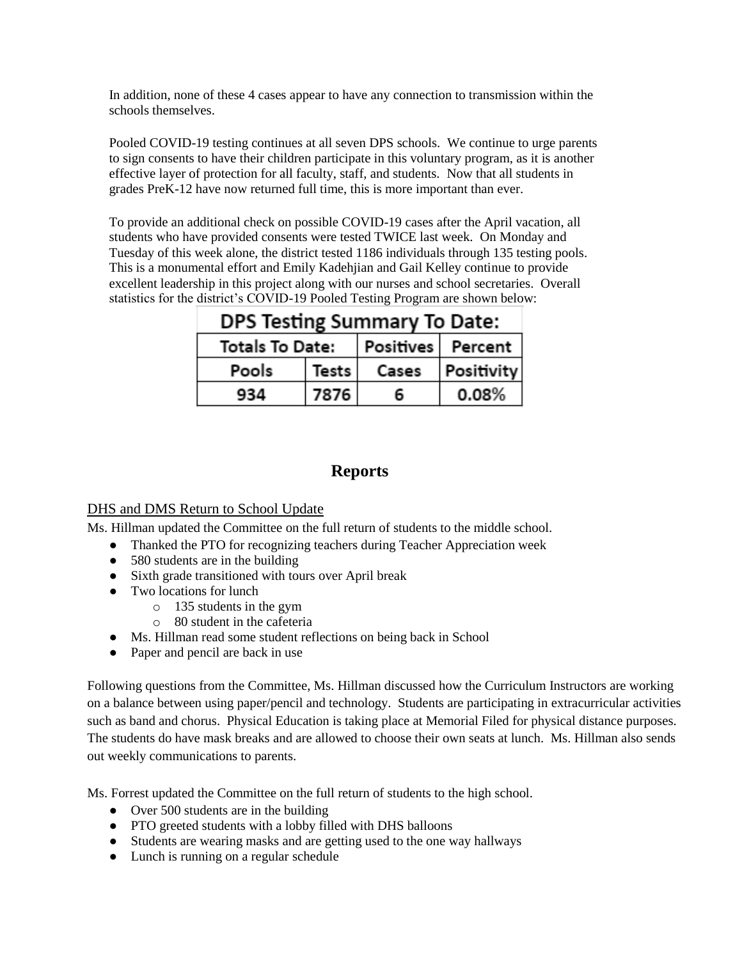In addition, none of these 4 cases appear to have any connection to transmission within the schools themselves.

Pooled COVID-19 testing continues at all seven DPS schools. We continue to urge parents to sign consents to have their children participate in this voluntary program, as it is another effective layer of protection for all faculty, staff, and students. Now that all students in grades PreK-12 have now returned full time, this is more important than ever.

To provide an additional check on possible COVID-19 cases after the April vacation, all students who have provided consents were tested TWICE last week. On Monday and Tuesday of this week alone, the district tested 1186 individuals through 135 testing pools. This is a monumental effort and Emily Kadehjian and Gail Kelley continue to provide excellent leadership in this project along with our nurses and school secretaries. Overall statistics for the district's COVID-19 Pooled Testing Program are shown below:

| <b>DPS Testing Summary To Date:</b> |       |       |                   |  |  |  |  |
|-------------------------------------|-------|-------|-------------------|--|--|--|--|
| Totals To Date:                     |       |       | Positives Percent |  |  |  |  |
| Pools                               | Tests | Cases | Positivity        |  |  |  |  |
| 934                                 | 7876  | 6     | 0.08%             |  |  |  |  |

# **Reports**

## DHS and DMS Return to School Update

Ms. Hillman updated the Committee on the full return of students to the middle school.

- Thanked the PTO for recognizing teachers during Teacher Appreciation week
- 580 students are in the building
- Sixth grade transitioned with tours over April break
- Two locations for lunch
	- o 135 students in the gym
	- o 80 student in the cafeteria
- Ms. Hillman read some student reflections on being back in School
- Paper and pencil are back in use

Following questions from the Committee, Ms. Hillman discussed how the Curriculum Instructors are working on a balance between using paper/pencil and technology. Students are participating in extracurricular activities such as band and chorus. Physical Education is taking place at Memorial Filed for physical distance purposes. The students do have mask breaks and are allowed to choose their own seats at lunch. Ms. Hillman also sends out weekly communications to parents.

Ms. Forrest updated the Committee on the full return of students to the high school.

- Over 500 students are in the building
- PTO greeted students with a lobby filled with DHS balloons
- Students are wearing masks and are getting used to the one way hallways
- Lunch is running on a regular schedule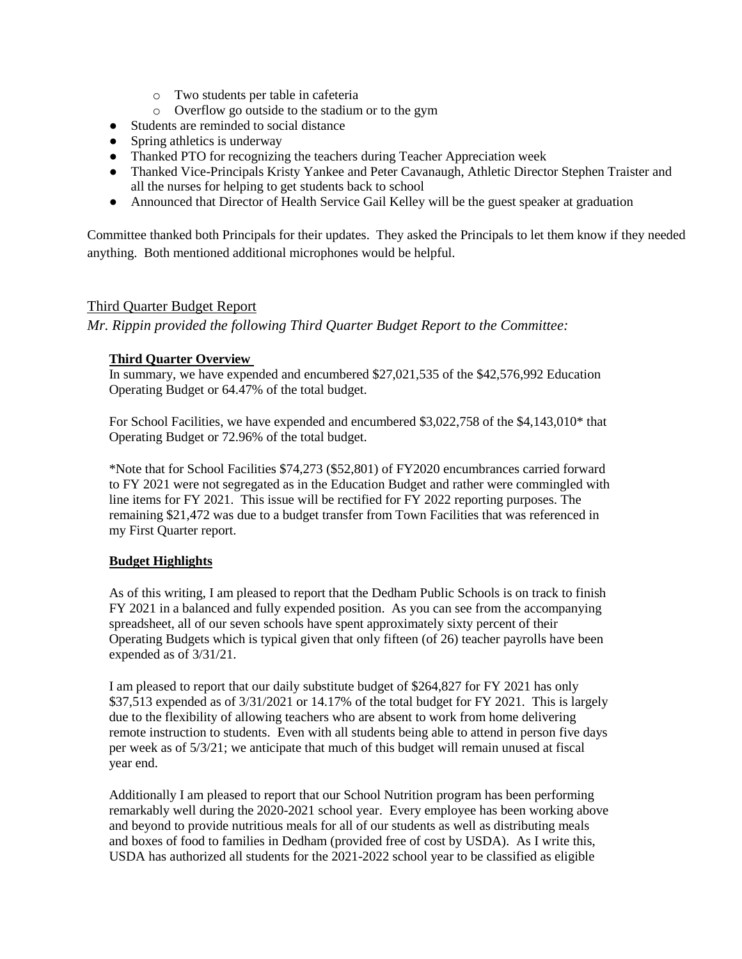- o Two students per table in cafeteria
- o Overflow go outside to the stadium or to the gym
- Students are reminded to social distance
- Spring athletics is underway
- Thanked PTO for recognizing the teachers during Teacher Appreciation week
- Thanked Vice-Principals Kristy Yankee and Peter Cavanaugh, Athletic Director Stephen Traister and all the nurses for helping to get students back to school
- Announced that Director of Health Service Gail Kelley will be the guest speaker at graduation

Committee thanked both Principals for their updates. They asked the Principals to let them know if they needed anything. Both mentioned additional microphones would be helpful.

#### Third Quarter Budget Report

*Mr. Rippin provided the following Third Quarter Budget Report to the Committee:*

#### **Third Quarter Overview**

In summary, we have expended and encumbered \$27,021,535 of the \$42,576,992 Education Operating Budget or 64.47% of the total budget.

For School Facilities, we have expended and encumbered \$3,022,758 of the \$4,143,010\* that Operating Budget or 72.96% of the total budget.

\*Note that for School Facilities \$74,273 (\$52,801) of FY2020 encumbrances carried forward to FY 2021 were not segregated as in the Education Budget and rather were commingled with line items for FY 2021. This issue will be rectified for FY 2022 reporting purposes. The remaining \$21,472 was due to a budget transfer from Town Facilities that was referenced in my First Quarter report.

#### **Budget Highlights**

As of this writing, I am pleased to report that the Dedham Public Schools is on track to finish FY 2021 in a balanced and fully expended position. As you can see from the accompanying spreadsheet, all of our seven schools have spent approximately sixty percent of their Operating Budgets which is typical given that only fifteen (of 26) teacher payrolls have been expended as of 3/31/21.

I am pleased to report that our daily substitute budget of \$264,827 for FY 2021 has only \$37,513 expended as of  $3/31/2021$  or 14.17% of the total budget for FY 2021. This is largely due to the flexibility of allowing teachers who are absent to work from home delivering remote instruction to students. Even with all students being able to attend in person five days per week as of 5/3/21; we anticipate that much of this budget will remain unused at fiscal year end.

Additionally I am pleased to report that our School Nutrition program has been performing remarkably well during the 2020-2021 school year. Every employee has been working above and beyond to provide nutritious meals for all of our students as well as distributing meals and boxes of food to families in Dedham (provided free of cost by USDA). As I write this, USDA has authorized all students for the 2021-2022 school year to be classified as eligible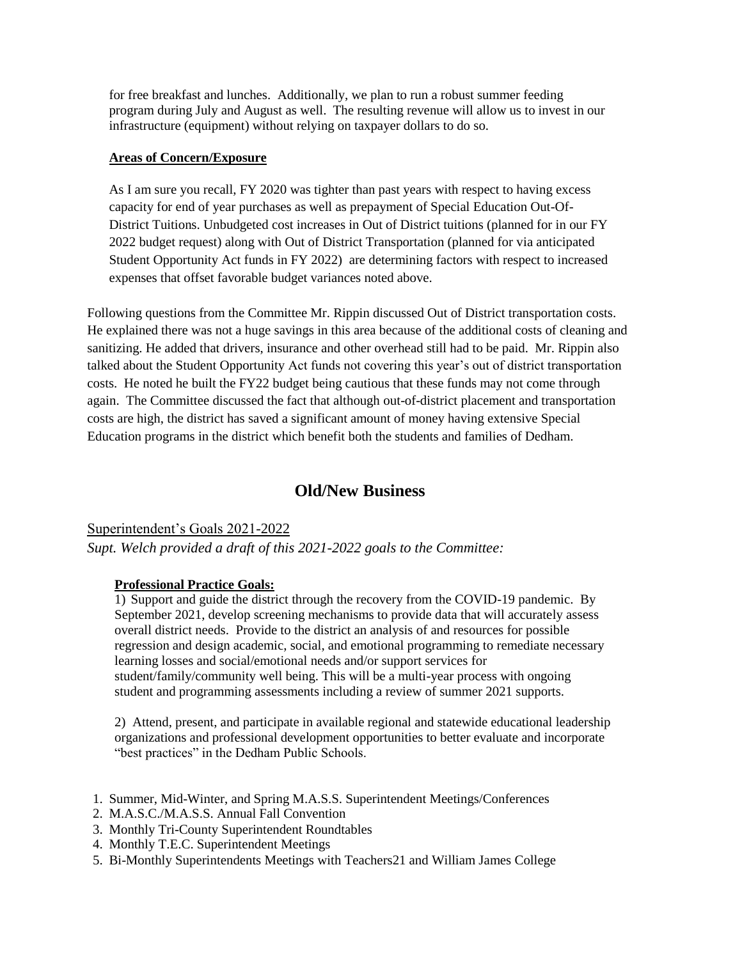for free breakfast and lunches. Additionally, we plan to run a robust summer feeding program during July and August as well. The resulting revenue will allow us to invest in our infrastructure (equipment) without relying on taxpayer dollars to do so.

#### **Areas of Concern/Exposure**

As I am sure you recall, FY 2020 was tighter than past years with respect to having excess capacity for end of year purchases as well as prepayment of Special Education Out-Of-District Tuitions. Unbudgeted cost increases in Out of District tuitions (planned for in our FY 2022 budget request) along with Out of District Transportation (planned for via anticipated Student Opportunity Act funds in FY 2022) are determining factors with respect to increased expenses that offset favorable budget variances noted above.

Following questions from the Committee Mr. Rippin discussed Out of District transportation costs. He explained there was not a huge savings in this area because of the additional costs of cleaning and sanitizing. He added that drivers, insurance and other overhead still had to be paid. Mr. Rippin also talked about the Student Opportunity Act funds not covering this year's out of district transportation costs. He noted he built the FY22 budget being cautious that these funds may not come through again. The Committee discussed the fact that although out-of-district placement and transportation costs are high, the district has saved a significant amount of money having extensive Special Education programs in the district which benefit both the students and families of Dedham.

# **Old/New Business**

Superintendent's Goals 2021-2022 *Supt. Welch provided a draft of this 2021-2022 goals to the Committee:*

#### **Professional Practice Goals:**

1) Support and guide the district through the recovery from the COVID-19 pandemic. By September 2021, develop screening mechanisms to provide data that will accurately assess overall district needs. Provide to the district an analysis of and resources for possible regression and design academic, social, and emotional programming to remediate necessary learning losses and social/emotional needs and/or support services for student/family/community well being. This will be a multi-year process with ongoing student and programming assessments including a review of summer 2021 supports.

2) Attend, present, and participate in available regional and statewide educational leadership organizations and professional development opportunities to better evaluate and incorporate "best practices" in the Dedham Public Schools.

- 1. Summer, Mid-Winter, and Spring M.A.S.S. Superintendent Meetings/Conferences
- 2. M.A.S.C./M.A.S.S. Annual Fall Convention
- 3. Monthly Tri-County Superintendent Roundtables
- 4. Monthly T.E.C. Superintendent Meetings
- 5. Bi-Monthly Superintendents Meetings with Teachers21 and William James College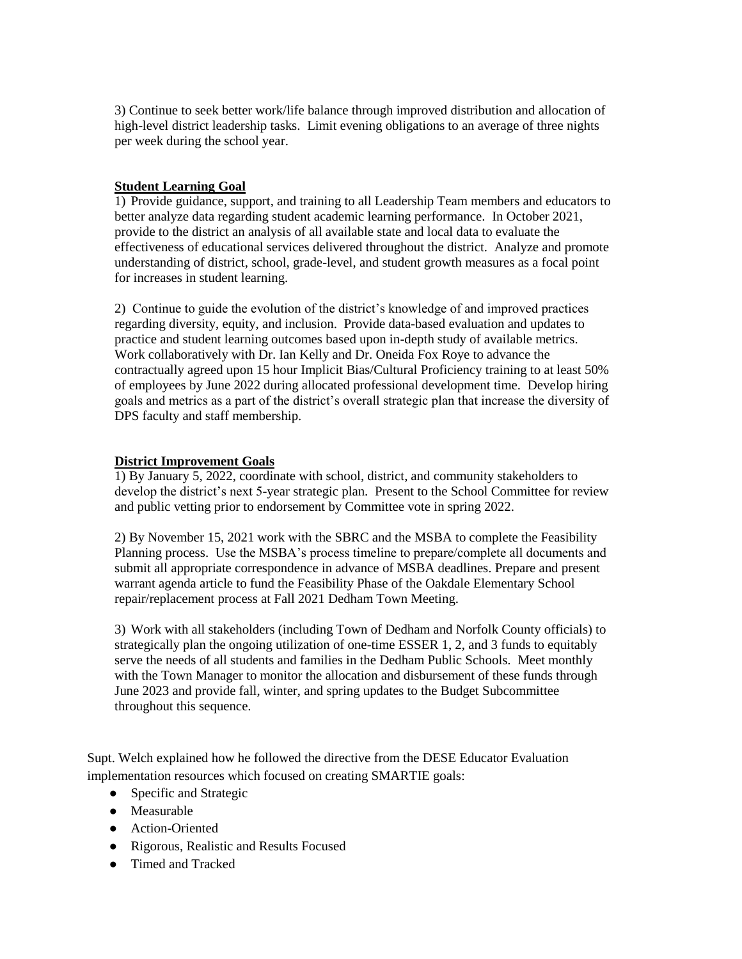3) Continue to seek better work/life balance through improved distribution and allocation of high-level district leadership tasks. Limit evening obligations to an average of three nights per week during the school year.

#### **Student Learning Goal**

1) Provide guidance, support, and training to all Leadership Team members and educators to better analyze data regarding student academic learning performance. In October 2021, provide to the district an analysis of all available state and local data to evaluate the effectiveness of educational services delivered throughout the district. Analyze and promote understanding of district, school, grade-level, and student growth measures as a focal point for increases in student learning.

2) Continue to guide the evolution of the district's knowledge of and improved practices regarding diversity, equity, and inclusion. Provide data-based evaluation and updates to practice and student learning outcomes based upon in-depth study of available metrics. Work collaboratively with Dr. Ian Kelly and Dr. Oneida Fox Roye to advance the contractually agreed upon 15 hour Implicit Bias/Cultural Proficiency training to at least 50% of employees by June 2022 during allocated professional development time. Develop hiring goals and metrics as a part of the district's overall strategic plan that increase the diversity of DPS faculty and staff membership.

#### **District Improvement Goals**

1) By January 5, 2022, coordinate with school, district, and community stakeholders to develop the district's next 5-year strategic plan. Present to the School Committee for review and public vetting prior to endorsement by Committee vote in spring 2022.

2) By November 15, 2021 work with the SBRC and the MSBA to complete the Feasibility Planning process. Use the MSBA's process timeline to prepare/complete all documents and submit all appropriate correspondence in advance of MSBA deadlines. Prepare and present warrant agenda article to fund the Feasibility Phase of the Oakdale Elementary School repair/replacement process at Fall 2021 Dedham Town Meeting.

3) Work with all stakeholders (including Town of Dedham and Norfolk County officials) to strategically plan the ongoing utilization of one-time ESSER 1, 2, and 3 funds to equitably serve the needs of all students and families in the Dedham Public Schools. Meet monthly with the Town Manager to monitor the allocation and disbursement of these funds through June 2023 and provide fall, winter, and spring updates to the Budget Subcommittee throughout this sequence.

Supt. Welch explained how he followed the directive from the DESE Educator Evaluation implementation resources which focused on creating SMARTIE goals:

- Specific and Strategic
- Measurable
- Action-Oriented
- Rigorous, Realistic and Results Focused
- Timed and Tracked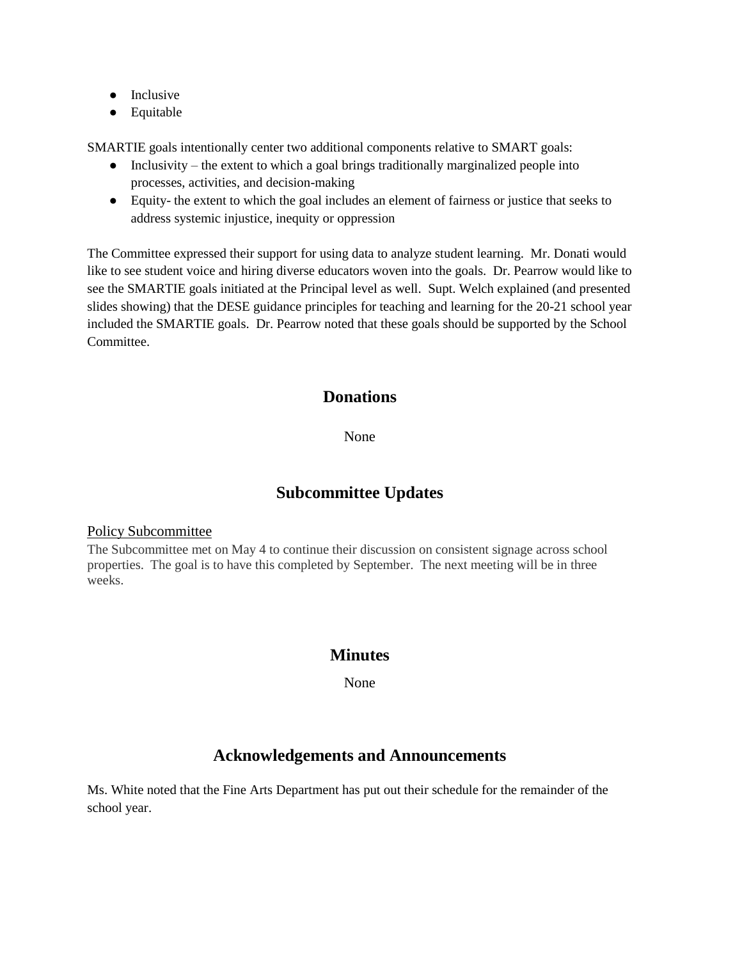- Inclusive
- Equitable

SMARTIE goals intentionally center two additional components relative to SMART goals:

- Inclusivity the extent to which a goal brings traditionally marginalized people into processes, activities, and decision-making
- Equity- the extent to which the goal includes an element of fairness or justice that seeks to address systemic injustice, inequity or oppression

The Committee expressed their support for using data to analyze student learning. Mr. Donati would like to see student voice and hiring diverse educators woven into the goals. Dr. Pearrow would like to see the SMARTIE goals initiated at the Principal level as well. Supt. Welch explained (and presented slides showing) that the DESE guidance principles for teaching and learning for the 20-21 school year included the SMARTIE goals. Dr. Pearrow noted that these goals should be supported by the School Committee.

## **Donations**

None

## **Subcommittee Updates**

#### Policy Subcommittee

The Subcommittee met on May 4 to continue their discussion on consistent signage across school properties. The goal is to have this completed by September. The next meeting will be in three weeks.

## **Minutes**

None

# **Acknowledgements and Announcements**

Ms. White noted that the Fine Arts Department has put out their schedule for the remainder of the school year.